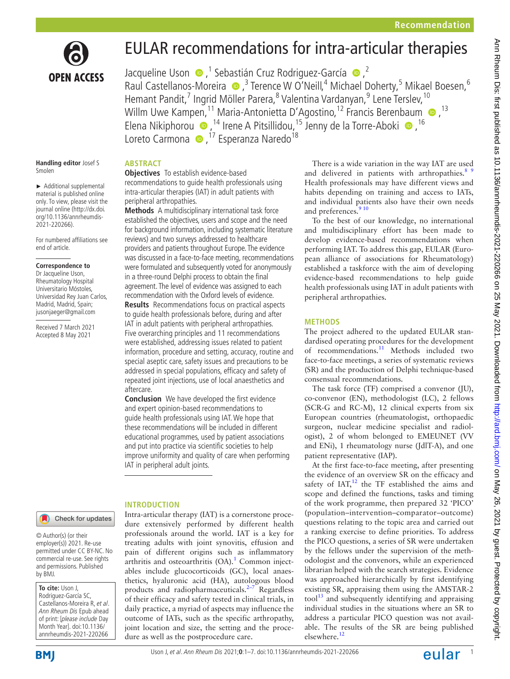

# EULAR recommendations for intra-articular therapies

JacquelineUson  $\bigcirc$ ,<sup>1</sup> Sebastián Cruz Rodriguez-García  $\bigcirc$ ,<sup>2</sup> RaulCastellanos-Moreira <sup>®</sup>,<sup>3</sup> Terence W O'Neill,<sup>4</sup> Michael Doherty,<sup>5</sup> Mikael Boesen,<sup>6</sup> Hemant Pandit,<sup>7</sup> Ingrid Möller Parera,<sup>8</sup> Valentina Vardanyan,<sup>9</sup> Lene Terslev, <sup>10</sup> Willm Uwe Kampen,<sup>11</sup> Maria-Antonietta D'Agostino,<sup>12</sup> Francis Berenbaum <sup>13</sup> ElenaNikiphorou  $\bullet$  ,<sup>14</sup> Irene A Pitsillidou,<sup>15</sup> Jenny de la Torre-Aboki  $\bullet$ , <sup>16</sup> Loreto Carmona  $\bullet$ , <sup>17</sup> Esperanza Naredo<sup>18</sup>

#### **Handling editor** Josef S Smolen

► Additional supplemental material is published online only. To view, please visit the journal online (http://dx.doi. org/10.1136/annrheumdis-2021-220266).

For numbered affiliations see end of article.

#### **Correspondence to**

Dr Jacqueline Uson, Rheumatology Hospital Universitario Móstoles, Universidad Rey Juan Carlos, Madrid, Madrid, Spain; jusonjaeger@gmail.com

Received 7 March 2021 Accepted 8 May 2021

# **ABSTRACT**

**Objectives** To establish evidence-based recommendations to guide health professionals using intra-articular therapies (IAT) in adult patients with peripheral arthropathies.

**Methods** A multidisciplinary international task force established the objectives, users and scope and the need for background information, including systematic literature reviews) and two surveys addressed to healthcare providers and patients throughout Europe. The evidence was discussed in a face-to-face meeting, recommendations were formulated and subsequently voted for anonymously in a three-round Delphi process to obtain the final agreement. The level of evidence was assigned to each recommendation with the Oxford levels of evidence.

**Results** Recommendations focus on practical aspects to guide health professionals before, during and after IAT in adult patients with peripheral arthropathies. Five overarching principles and 11 recommendations were established, addressing issues related to patient information, procedure and setting, accuracy, routine and special aseptic care, safety issues and precautions to be addressed in special populations, efficacy and safety of repeated joint injections, use of local anaesthetics and aftercare.

**Conclusion** We have developed the first evidence and expert opinion-based recommendations to guide health professionals using IAT. We hope that these recommendations will be included in different educational programmes, used by patient associations and put into practice via scientific societies to help improve uniformity and quality of care when performing IAT in peripheral adult joints.

Intra-articular therapy (IAT) is a cornerstone procedure extensively performed by different health professionals around the world. IAT is a key for treating adults with joint synovitis, effusion and pain of different origins such as inflammatory arthritis and osteoarthritis  $(OA)$ .<sup>1</sup> Common injectables include glucocorticoids (GC), local anaesthetics, hyaluronic acid (HA), autologous blood products and radiopharmaceuticals. $2-7$  Regardless of their efficacy and safety tested in clinical trials, in daily practice, a myriad of aspects may influence the outcome of IATs, such as the specific arthropathy, joint location and size, the setting and the proce-

dure as well as the postprocedure care.

# **INTRODUCTION**

Check for updates

© Author(s) (or their employer(s)) 2021. Re-use permitted under CC BY-NC. No commercial re-use. See rights and permissions. Published by BMJ.

**To cite:** Uson J, Rodriguez-García SC, Castellanos-Moreira R, et al. Ann Rheum Dis Epub ahead of print: [please include Day Month Year]. doi:10.1136/ annrheumdis-2021-220266

**BMI** 

# UsonJ, et al. Ann Rheum Dis 2021**;0**:1–7. doi:10.1136/annrheumdis-2021-220266 **12 CUICI**



and multidisciplinary effort has been made to develop evidence-based recommendations when performing IAT. To address this gap, EULAR (European alliance of associations for Rheumatology) established a taskforce with the aim of developing evidence-based recommendations to help guide health professionals using IAT in adult patients with peripheral arthropathies.

# **METHODS**

The project adhered to the updated EULAR standardised operating procedures for the development of recommendations.[11](#page-5-4) Methods included two face-to-face meetings, a series of systematic reviews (SR) and the production of Delphi technique-based consensual recommendations.

The task force (TF) comprised a convenor (JU), co-convenor (EN), methodologist (LC), 2 fellows (SCR-G and RC-M), 12 clinical experts from six European countries (rheumatologist, orthopaedic surgeon, nuclear medicine specialist and radiologist), 2 of whom belonged to EMEUNET (VV and ENi), 1 rheumatology nurse (JdlT-A), and one patient representative (IAP).

At the first face-to-face meeting, after presenting the evidence of an overview SR on the efficacy and safety of  $IAT$ <sup>12</sup>, the TF established the aims and scope and defined the functions, tasks and timing of the work programme, then prepared 32 'PICO' (population–intervention–comparator–outcome) questions relating to the topic area and carried out a ranking exercise to define priorities. To address the PICO questions, a series of SR were undertaken by the fellows under the supervision of the methodologist and the convenors, while an experienced librarian helped with the search strategies. Evidence was approached hierarchically by first identifying existing SR, appraising them using the AMSTAR-2  $\text{tool}^{13}$  and subsequently identifying and appraising individual studies in the situations where an SR to address a particular PICO question was not available. The results of the SR are being published elsewhere[.12](#page-5-5)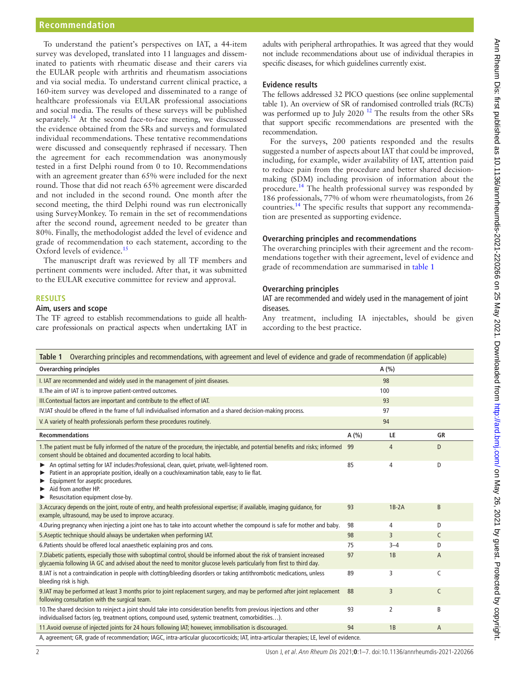## **Recommendation**

To understand the patient's perspectives on IAT, a 44-item survey was developed, translated into 11 languages and disseminated to patients with rheumatic disease and their carers via the EULAR people with arthritis and rheumatism associations and via social media. To understand current clinical practice, a 160-item survey was developed and disseminated to a range of healthcare professionals via EULAR professional associations and social media. The results of these surveys will be published separately.<sup>14</sup> At the second face-to-face meeting, we discussed the evidence obtained from the SRs and surveys and formulated individual recommendations. These tentative recommendations were discussed and consequently rephrased if necessary. Then the agreement for each recommendation was anonymously tested in a first Delphi round from 0 to 10. Recommendations with an agreement greater than 65% were included for the next round. Those that did not reach 65% agreement were discarded and not included in the second round. One month after the second meeting, the third Delphi round was run electronically using SurveyMonkey. To remain in the set of recommendations after the second round, agreement needed to be greater than 80%. Finally, the methodologist added the level of evidence and grade of recommendation to each statement, according to the Oxford levels of evidence.<sup>15</sup>

The manuscript draft was reviewed by all TF members and pertinent comments were included. After that, it was submitted to the EULAR executive committee for review and approval.

#### **RESULTS**

#### **Aim, users and scope**

The TF agreed to establish recommendations to guide all healthcare professionals on practical aspects when undertaking IAT in

adults with peripheral arthropathies. It was agreed that they would not include recommendations about use of individual therapies in specific diseases, for which guidelines currently exist.

#### **Evidence results**

The fellows addressed 32 PICO questions (see [online supplemental](https://dx.doi.org/10.1136/annrheumdis-2021-220266) [table 1\)](https://dx.doi.org/10.1136/annrheumdis-2021-220266). An overview of SR of randomised controlled trials (RCTs) was performed up to July 2020<sup>[12](#page-5-5)</sup> The results from the other SRs that support specific recommendations are presented with the recommendation.

For the surveys, 200 patients responded and the results suggested a number of aspects about IAT that could be improved, including, for example, wider availability of IAT, attention paid to reduce pain from the procedure and better shared decisionmaking (SDM) including provision of information about the procedure.<sup>[14](#page-5-7)</sup> The health professional survey was responded by 186 professionals, 77% of whom were rheumatologists, from 26 countries.[14](#page-5-7) The specific results that support any recommendation are presented as supporting evidence.

#### **Overarching principles and recommendations**

The overarching principles with their agreement and the recommendations together with their agreement, level of evidence and grade of recommendation are summarised in [table](#page-1-0) 1

#### **Overarching principles**

IAT are recommended and widely used in the management of joint diseases.

Any treatment, including IA injectables, should be given according to the best practice.

<span id="page-1-0"></span>

| Overarching principles and recommendations, with agreement and level of evidence and grade of recommendation (if applicable)<br>Table 1                                                                                                                                                         |         |                |    |  |
|-------------------------------------------------------------------------------------------------------------------------------------------------------------------------------------------------------------------------------------------------------------------------------------------------|---------|----------------|----|--|
| <b>Overarching principles</b>                                                                                                                                                                                                                                                                   |         | A(%)           |    |  |
| I. IAT are recommended and widely used in the management of joint diseases.                                                                                                                                                                                                                     |         | 98             |    |  |
| II. The aim of IAT is to improve patient-centred outcomes.                                                                                                                                                                                                                                      | 100     |                |    |  |
| III. Contextual factors are important and contribute to the effect of IAT.                                                                                                                                                                                                                      |         | 93             |    |  |
| IV.IAT should be offered in the frame of full individualised information and a shared decision-making process.                                                                                                                                                                                  |         | 97             |    |  |
| V. A variety of health professionals perform these procedures routinely.                                                                                                                                                                                                                        |         | 94             |    |  |
| <b>Recommendations</b>                                                                                                                                                                                                                                                                          | A $(%)$ | LE             | GR |  |
| 1. The patient must be fully informed of the nature of the procedure, the injectable, and potential benefits and risks; informed 99<br>consent should be obtained and documented according to local habits.                                                                                     |         | $\overline{4}$ | D  |  |
| An optimal setting for IAT includes: Professional, clean, quiet, private, well-lightened room.<br>Patient in an appropriate position, ideally on a couch/examination table, easy to lie flat.<br>Equipment for aseptic procedures.<br>Aid from another HP.<br>Resuscitation equipment close-by. | 85      | 4              | D  |  |
| 3. Accuracy depends on the joint, route of entry, and health professional expertise; if available, imaging quidance, for<br>example, ultrasound, may be used to improve accuracy.                                                                                                               | 93      | $1B-2A$        | B  |  |
| 4. During pregnancy when injecting a joint one has to take into account whether the compound is safe for mother and baby.                                                                                                                                                                       | 98      | 4              | D  |  |
| 5. Aseptic technique should always be undertaken when performing IAT.                                                                                                                                                                                                                           | 98      | 3              | C  |  |
| 6. Patients should be offered local anaesthetic explaining pros and cons.                                                                                                                                                                                                                       | 75      | $3 - 4$        | D  |  |
| 7. Diabetic patients, especially those with suboptimal control, should be informed about the risk of transient increased<br>glycaemia following IA GC and advised about the need to monitor glucose levels particularly from first to third day.                                                | 97      | 1B             | A  |  |
| 8.IAT is not a contraindication in people with clotting/bleeding disorders or taking antithrombotic medications, unless<br>bleeding risk is high.                                                                                                                                               | 89      | 3              | C  |  |
| 9. IAT may be performed at least 3 months prior to joint replacement surgery, and may be performed after joint replacement<br>following consultation with the surgical team.                                                                                                                    | 88      | 3              | C  |  |
| 10. The shared decision to reinject a joint should take into consideration benefits from previous injections and other<br>individualised factors (eq, treatment options, compound used, systemic treatment, comorbidities).                                                                     | 93      | $\overline{2}$ | B  |  |
| 11. Avoid overuse of injected joints for 24 hours following IAT; however, immobilisation is discouraged.                                                                                                                                                                                        | 94      | 1B             | A  |  |
| A, agreement; GR, grade of recommendation; IAGC, intra-articular glucocorticoids; IAT, intra-articular therapies; LE, level of evidence.                                                                                                                                                        |         |                |    |  |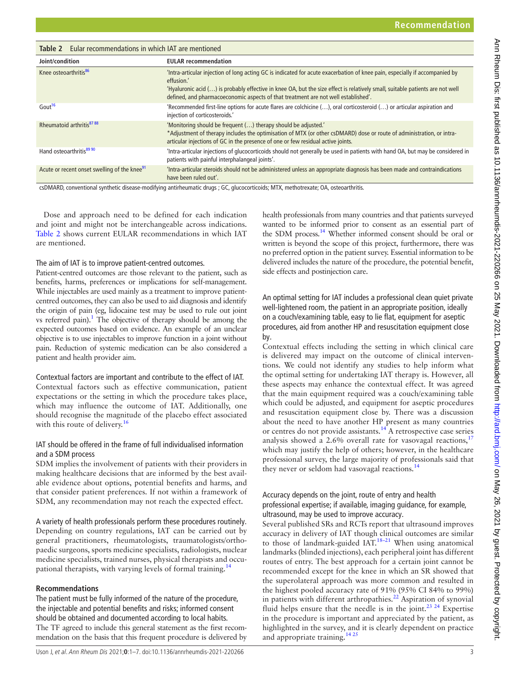<span id="page-2-0"></span>

| Eular recommendations in which IAT are mentioned<br>Table 2 |                                                                                                                                                                                                                                                                                                                                                                    |  |
|-------------------------------------------------------------|--------------------------------------------------------------------------------------------------------------------------------------------------------------------------------------------------------------------------------------------------------------------------------------------------------------------------------------------------------------------|--|
| Joint/condition                                             | <b>EULAR</b> recommendation                                                                                                                                                                                                                                                                                                                                        |  |
| Knee osteoarthritis <sup>86</sup>                           | 'Intra-articular injection of long acting GC is indicated for acute exacerbation of knee pain, especially if accompanied by<br>effusion.'<br>'Hyaluronic acid $()$ is probably effective in knee OA, but the size effect is relatively small, suitable patients are not well<br>defined, and pharmacoeconomic aspects of that treatment are not well established'. |  |
| Gout <sup>16</sup>                                          | 'Recommended first-line options for acute flares are colchicine (), oral corticosteroid () or articular aspiration and<br>injection of corticosteroids.'                                                                                                                                                                                                           |  |
| Rheumatoid arthritis <sup>87</sup> 88                       | 'Monitoring should be frequent () therapy should be adjusted.'<br>*Adjustment of therapy includes the optimisation of MTX (or other csDMARD) dose or route of administration, or intra-<br>articular injections of GC in the presence of one or few residual active joints.                                                                                        |  |
| Hand osteoarthritis <sup>89 90</sup>                        | 'Intra-articular injections of glucocorticoids should not generally be used in patients with hand OA, but may be considered in<br>patients with painful interphalangeal joints'.                                                                                                                                                                                   |  |
| Acute or recent onset swelling of the knee <sup>91</sup>    | 'Intra-articular steroids should not be administered unless an appropriate diagnosis has been made and contraindications<br>have been ruled out'.                                                                                                                                                                                                                  |  |

csDMARD, conventional synthetic disease-modifying antirheumatic drugs ; GC, glucocorticoids; MTX, methotrexate; OA, osteoarthritis.

Dose and approach need to be defined for each indication and joint and might not be interchangeable across indications. [Table](#page-2-0) 2 shows current EULAR recommendations in which IAT are mentioned.

#### The aim of IAT is to improve patient-centred outcomes.

Patient-centred outcomes are those relevant to the patient, such as benefits, harms, preferences or implications for self-management. While injectables are used mainly as a treatment to improve patientcentred outcomes, they can also be used to aid diagnosis and identify the origin of pain (eg, lidocaine test may be used to rule out joint vs referred pain).<sup>1</sup> The objective of therapy should be among the expected outcomes based on evidence. An example of an unclear objective is to use injectables to improve function in a joint without pain. Reduction of systemic medication can be also considered a patient and health provider aim.

#### Contextual factors are important and contribute to the effect of IAT.

Contextual factors such as effective communication, patient expectations or the setting in which the procedure takes place, which may influence the outcome of IAT. Additionally, one should recognise the magnitude of the placebo effect associated with this route of delivery.<sup>[16](#page-5-9)</sup>

## IAT should be offered in the frame of full individualised information and a SDM process

SDM implies the involvement of patients with their providers in making healthcare decisions that are informed by the best available evidence about options, potential benefits and harms, and that consider patient preferences. If not within a framework of SDM, any recommendation may not reach the expected effect.

A variety of health professionals perform these procedures routinely. Depending on country regulations, IAT can be carried out by general practitioners, rheumatologists, traumatologists/orthopaedic surgeons, sports medicine specialists, radiologists, nuclear medicine specialists, trained nurses, physical therapists and occupational therapists, with varying levels of formal training.[14](#page-5-7)

#### **Recommendations**

The patient must be fully informed of the nature of the procedure, the injectable and potential benefits and risks; informed consent should be obtained and documented according to local habits. The TF agreed to include this general statement as the first recommendation on the basis that this frequent procedure is delivered by

Uson J, et al. Ann Rheum Dis 2021;**0**:1–7. doi:10.1136/annrheumdis-2021-220266 3

health professionals from many countries and that patients surveyed wanted to be informed prior to consent as an essential part of the SDM process.<sup>14</sup> Whether informed consent should be oral or written is beyond the scope of this project, furthermore, there was no preferred option in the patient survey. Essential information to be delivered includes the nature of the procedure, the potential benefit, side effects and postinjection care.

An optimal setting for IAT includes a professional clean quiet private well-lightened room, the patient in an appropriate position, ideally on a couch/examining table, easy to lie flat, equipment for aseptic procedures, aid from another HP and resuscitation equipment close by.

Contextual effects including the setting in which clinical care is delivered may impact on the outcome of clinical interventions. We could not identify any studies to help inform what the optimal setting for undertaking IAT therapy is. However, all these aspects may enhance the contextual effect. It was agreed that the main equipment required was a couch/examining table which could be adjusted, and equipment for aseptic procedures and resuscitation equipment close by. There was a discussion about the need to have another HP present as many countries or centres do not provide assistants.[14](#page-5-7) A retrospective case series analysis showed a 2.6% overall rate for vasovagal reactions,  $17$ which may justify the help of others; however, in the healthcare professional survey, the large majority of professionals said that they never or seldom had vasovagal reactions.<sup>[14](#page-5-7)</sup>

## Accuracy depends on the joint, route of entry and health professional expertise; if available, imaging guidance, for example, ultrasound, may be used to improve accuracy.

Several published SRs and RCTs report that ultrasound improves accuracy in delivery of IAT though clinical outcomes are similar to those of landmark-guided IAT.<sup>18–21</sup> When using anatomical landmarks (blinded injections), each peripheral joint has different routes of entry. The best approach for a certain joint cannot be recommended except for the knee in which an SR showed that the superolateral approach was more common and resulted in the highest pooled accuracy rate of 91% (95% CI 84% to 99%) in patients with different arthropathies. $^{22}$  Aspiration of synovial fluid helps ensure that the needle is in the joint.<sup>23 24</sup> Expertise in the procedure is important and appreciated by the patient, as highlighted in the survey, and it is clearly dependent on practice and appropriate training.  $1425$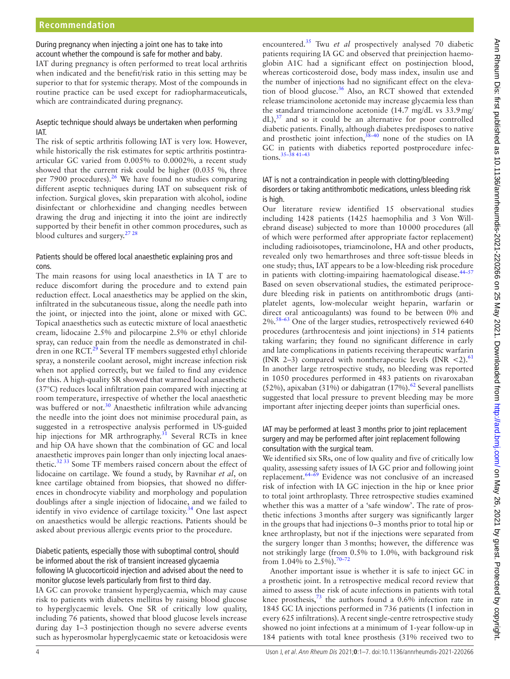During pregnancy when injecting a joint one has to take into account whether the compound is safe for mother and baby.

IAT during pregnancy is often performed to treat local arthritis when indicated and the benefit/risk ratio in this setting may be superior to that for systemic therapy. Most of the compounds in routine practice can be used except for radiopharmaceuticals, which are contraindicated during pregnancy.

# Aseptic technique should always be undertaken when performing IAT.

The risk of septic arthritis following IAT is very low. However, while historically the risk estimates for septic arthritis postintraarticular GC varied from 0.005% to 0.0002%, a recent study showed that the current risk could be higher (0.035 %, three per 7900 procedures). $26$  We have found no studies comparing different aseptic techniques during IAT on subsequent risk of infection. Surgical gloves, skin preparation with alcohol, iodine disinfectant or chlorhexidine and changing needles between drawing the drug and injecting it into the joint are indirectly supported by their benefit in other common procedures, such as blood cultures and surgery[.27 28](#page-5-15)

# Patients should be offered local anaesthetic explaining pros and cons.

The main reasons for using local anaesthetics in IA T are to reduce discomfort during the procedure and to extend pain reduction effect. Local anaesthetics may be applied on the skin, infiltrated in the subcutaneous tissue, along the needle path into the joint, or injected into the joint, alone or mixed with GC. Topical anaesthetics such as eutectic mixture of local anaesthetic cream, lidocaine 2.5% and pilocarpine 2.5% or ethyl chloride spray, can reduce pain from the needle as demonstrated in children in one RCT. $^{29}$  Several TF members suggested ethyl chloride spray, a nonsterile coolant aerosol, might increase infection risk when not applied correctly, but we failed to find any evidence for this. A high-quality SR showed that warmed local anaesthetic (37°C) reduces local infiltration pain compared with injecting at room temperature, irrespective of whether the local anaesthetic was buffered or not.<sup>[30](#page-5-17)</sup> Anaesthetic infiltration while advancing the needle into the joint does not minimise procedural pain, as suggested in a retrospective analysis performed in US-guided hip injections for MR arthrography.<sup>31</sup> Several RCTs in knee and hip OA have shown that the combination of GC and local anaesthetic improves pain longer than only injecting local anaesthetic.<sup>32 33</sup> Some TF members raised concern about the effect of lidocaine on cartilage. We found a study, by Ravnihar *et al*, on knee cartilage obtained from biopsies, that showed no differences in chondrocyte viability and morphology and population doublings after a single injection of lidocaine, and we failed to identify in vivo evidence of cartilage toxicity.<sup>34</sup> One last aspect on anaesthetics would be allergic reactions. Patients should be asked about previous allergic events prior to the procedure.

# Diabetic patients, especially those with suboptimal control, should be informed about the risk of transient increased glycaemia following IA glucocorticoid injection and advised about the need to monitor glucose levels particularly from first to third day.

IA GC can provoke transient hyperglycaemia, which may cause risk to patients with diabetes mellitus by raising blood glucose to hyperglycaemic levels. One SR of critically low quality, including 76 patients, showed that blood glucose levels increase during day 1–3 postinjection though no severe adverse events such as hyperosmolar hyperglycaemic state or ketoacidosis were

encountered[.35](#page-5-21) Twu *et al* prospectively analysed 70 diabetic patients requiring IA GC and observed that preinjection haemoglobin A1C had a significant effect on postinjection blood, whereas corticosteroid dose, body mass index, insulin use and the number of injections had no significant effect on the elevation of blood glucose.<sup>36</sup> Also, an RCT showed that extended release triamcinolone acetonide may increase glycaemia less than the standard triamcinolone acetonide (14.7 mg/dL vs 33.9mg/  $dL$ ),<sup>[37](#page-5-23)</sup> and so it could be an alternative for poor controlled diabetic patients. Finally, although diabetes predisposes to native and prosthetic joint infection, $38-40$  none of the studies on IA GC in patients with diabetics reported postprocedure infections.[35–38 41–43](#page-5-21)

## IAT is not a contraindication in people with clotting/bleeding disorders or taking antithrombotic medications, unless bleeding risk is high.

Our literature review identified 15 observational studies including 1428 patients (1425 haemophilia and 3 Von Willebrand disease) subjected to more than 10000 procedures (all of which were performed after appropriate factor replacement) including radioisotopes, triamcinolone, HA and other products, revealed only two hemarthroses and three soft-tissue bleeds in one study; thus, IAT appears to be a low-bleeding risk procedure in patients with clotting-impairing haematological disease.<sup>44-57</sup> Based on seven observational studies, the estimated periprocedure bleeding risk in patients on antithrombotic drugs (antiplatelet agents, low-molecular weight heparin, warfarin or direct oral anticoagulants) was found to be between 0% and  $2\%$ .<sup>58–63</sup> One of the larger studies, retrospectively reviewed 640 procedures (arthrocentesis and joint injections) in 514 patients taking warfarin; they found no significant difference in early and late complications in patients receiving therapeutic warfarin (INR 2–3) compared with nontherapeutic levels (INR  $\lt 2$ ).<sup>[61](#page-6-7)</sup> In another large retrospective study, no bleeding was reported in 1050 procedures performed in 483 patients on rivaroxaban (52%), apixaban (31%) or dabigatran (17%).<sup>62</sup> Several panellists suggested that local pressure to prevent bleeding may be more important after injecting deeper joints than superficial ones.

## IAT may be performed at least 3 months prior to joint replacement surgery and may be performed after joint replacement following consultation with the surgical team.

We identified six SRs, one of low quality and five of critically low quality, assessing safety issues of IA GC prior and following joint replacement[.64–69](#page-6-9) Evidence was not conclusive of an increased risk of infection with IA GC injection in the hip or knee prior to total joint arthroplasty. Three retrospective studies examined whether this was a matter of a 'safe window'. The rate of prosthetic infections 3months after surgery was significantly larger in the groups that had injections 0–3 months prior to total hip or knee arthroplasty, but not if the injections were separated from the surgery longer than 3months; however, the difference was not strikingly large (from 0.5% to 1.0%, with background risk from 1.04% to 2.5%).<sup>[70–72](#page-6-10)</sup>

Another important issue is whether it is safe to inject GC in a prosthetic joint. In a retrospective medical record review that aimed to assess the risk of acute infections in patients with total knee prosthesis, $\frac{73}{3}$  $\frac{73}{3}$  $\frac{73}{3}$  the authors found a 0.6% infection rate in 1845 GC IA injections performed in 736 patients (1 infection in every 625 infiltrations). A recent single-centre retrospective study showed no joint infections at a minimum of 1-year follow-up in 184 patients with total knee prosthesis (31% received two to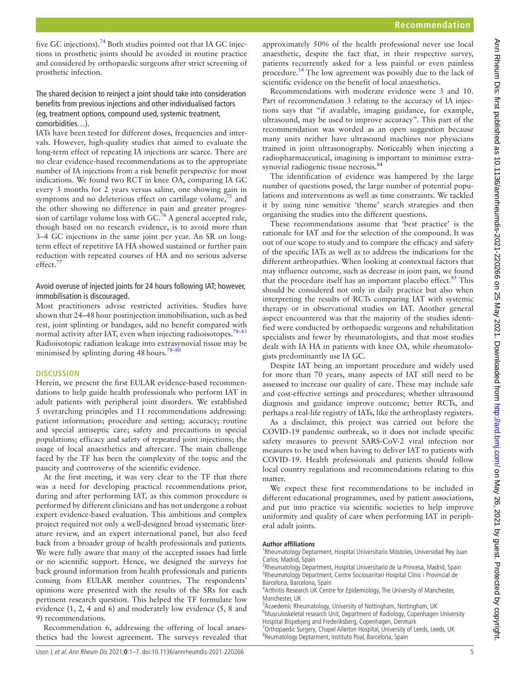five GC injections).<sup>[74](#page-6-12)</sup> Both studies pointed out that IA GC injections in prosthetic joints should be avoided in routine practice and considered by orthopaedic surgeons after strict screening of prosthetic infection.

## The shared decision to reinject a joint should take into consideration benefits from previous injections and other individualised factors (eg, treatment options, compound used, systemic treatment, comorbidities…).

IATs have been tested for different doses, frequencies and intervals. However, high-quality studies that aimed to evaluate the long-term effect of repeating IA injections are scarce. There are no clear evidence-based recommendations as to the appropriate number of IA injections from a risk benefit perspective for most indications. We found two RCT in knee OA, comparing IA GC every 3 months for 2 years versus saline, one showing gain in symptoms and no deleterious effect on cartilage volume, $\frac{75}{12}$  $\frac{75}{12}$  $\frac{75}{12}$  and the other showing no difference in pain and greater progres-sion of cartilage volume loss with GC.<sup>[76](#page-6-14)</sup> A general accepted rule, though based on no research evidence, is to avoid more than 3–4 GC injections in the same joint per year. An SR on longterm effect of repetitive IA HA showed sustained or further pain reduction with repeated courses of HA and no serious adverse effect.<sup>[77](#page-6-15)</sup>

## Avoid overuse of injected joints for 24 hours following IAT; however, immobilisation is discouraged.

Most practitioners advise restricted activities. Studies have shown that 24–48hour postinjection immobilisation, such as bed rest, joint splinting or bandages, add no benefit compared with normal activity after IAT, even when injecting radioisotopes. $78-83$ Radioisotopic radiation leakage into extrasynovial tissue may be minimised by splinting during 48 hours.<sup>78-80</sup>

#### **DISCUSSION**

Herein, we present the first EULAR evidence-based recommendations to help guide health professionals who perform IAT in adult patients with peripheral joint disorders. We established 5 overarching principles and 11 recommendations addressing: patient information; procedure and setting; accuracy; routine and special antiseptic care; safety and precautions in special populations; efficacy and safety of repeated joint injections; the usage of local anaesthetics and aftercare. The main challenge faced by the TF has been the complexity of the topic and the paucity and controversy of the scientific evidence.

At the first meeting, it was very clear to the TF that there was a need for developing practical recommendations prior, during and after performing IAT, as this common procedure is performed by different clinicians and has not undergone a robust expert evidence-based evaluation. This ambitious and complex project required not only a well-designed broad systematic literature review, and an expert international panel, but also feed back from a broader group of health professionals and patients. We were fully aware that many of the accepted issues had little or no scientific support. Hence, we designed the surveys for back ground information from health professionals and patients coming from EULAR member countries. The respondents' opinions were presented with the results of the SRs for each pertinent research question. This helped the TF formulate low evidence (1, 2, 4 and 6) and moderately low evidence (5, 8 and 9) recommendations.

Recommendation 6, addressing the offering of local anaesthetics had the lowest agreement. The surveys revealed that

approximately 50% of the health professional never use local anaesthetic, despite the fact that, in their respective survey, patients recurrently asked for a less painful or even painless procedure.<sup>14</sup> The low agreement was possibly due to the lack of scientific evidence on the benefit of local anaesthetics.

Recommendations with moderate evidence were 3 and 10. Part of recommendation 3 relating to the accuracy of IA injections says that "if available, imaging guidance, for example, ultrasound, may be used to improve accuracy". This part of the recommendation was worded as an open suggestion because many units neither have ultrasound machines nor physicians trained in joint ultrasonography. Noticeably when injecting a radiopharmaceutical, imagining is important to minimise extra-synovial radiogenic tissue necrosis.<sup>[84](#page-6-17)</sup>

The identification of evidence was hampered by the large number of questions posed, the large number of potential populations and interventions as well as time constraints. We tackled it by using nine sensitive 'theme' search strategies and then organising the studies into the different questions.

These recommendations assume that 'best practice' is the rationale for IAT and for the selection of the compound. It was out of our scope to study and to compare the efficacy and safety of the specific IATs as well as to address the indications for the different arthropathies. When looking at contextual factors that may influence outcome, such as decrease in joint pain, we found that the procedure itself has an important placebo effect. $85$  This should be considered not only in daily practice but also when interpreting the results of RCTs comparing IAT with systemic therapy or in observational studies on IAT. Another general aspect encountered was that the majority of the studies identified were conducted by orthopaedic surgeons and rehabilitation specialists and fewer by rheumatologists, and that most studies dealt with IA HA in patients with knee OA, while rheumatologists predominantly use IA GC.

Despite IAT being an important procedure and widely used for more than 70 years, many aspects of IAT still need to be assessed to increase our quality of care. These may include safe and cost-effective settings and procedures; whether ultrasound diagnosis and guidance improve outcome; better RCTs, and perhaps a real-life registry of IATs, like the arthroplasty registers.

As a disclaimer, this project was carried out before the COVID-19 pandemic outbreak, so it does not include specific safety measures to prevent SARS-CoV-2 viral infection nor measures to be used when having to deliver IAT to patients with COVID-19. Health professionals and patients should follow local country regulations and recommendations relating to this matter.

We expect these first recommendations to be included in different educational programmes, used by patient associations, and put into practice via scientific societies to help improve uniformity and quality of care when performing IAT in peripheral adult joints.

#### **Author affiliations**

<sup>1</sup>Rheumatology Deptarment, Hospital Universitario Móstoles, Universidad Rey Juan Carlos, Madrid, Spain

<sup>2</sup>Rheumatology Department, Hospital Universitario de la Princesa, Madrid, Spain <sup>3</sup>Rheumatology Department, Centre Sociosanitari Hospital Clínic i Provincial de Barcelona, Barcelona, Spain

<sup>4</sup> Arthritis Research UK Centre for Epidemiology, The University of Manchester, Manchester, UK

5 Acaedemic Rheumatology, University of Nottingham, Nottingham, UK <sup>6</sup>Musculoskeletal research Unit, Department of Radiology, Copenhagen University

Hospital Bispebjerg and Frederiksberg, Copenhagen, Denmark <sup>7</sup>Orthopaedic Surgery, Chapel Allerton Hospital, University of Leeds, Leeds, UK

<sup>8</sup>Reumatology Deptarment, Instituto Poal, Barcelona, Spain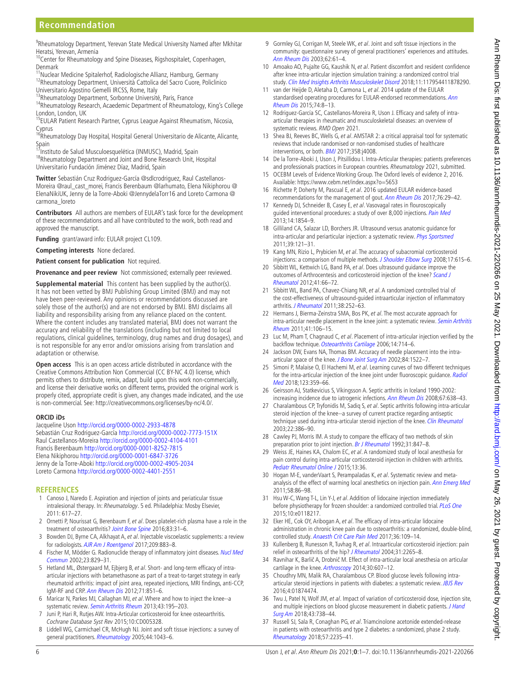# **Recommendation**

9 Rheumatology Department, Yerevan State Medical University Named after Mkhitar Heratsi, Yerevan, Armenia

<sup>10</sup>Center for Rheumatology and Spine Diseases, Rigshospitalet, Copenhagen, Denmark

<sup>11</sup>Nuclear Medicine Spitalerhof, Radiologische Allianz, Hamburg, Germany 12Rheumatology Department, Università Cattolica del Sacro Cuore, Policlinico Universitario Agostino Gemelli IRCSS, Rome, Italy

<sup>13</sup>Rheumatology Department, Sorbonne Université, Paris, France

<sup>14</sup>Rheumatology Research, Acaedemic Department of Rheumatology, King's College London, London, UK

<sup>15</sup>EULAR Patient Research Partner, Cyprus League Against Rheumatism, Nicosia, Cyprus

<sup>16</sup>Rheumatology Day Hospital, Hospital General Universitario de Alicante, Alicante, Spain

<sup>17</sup>Instituto de Salud Musculoesquelética (INMUSC), Madrid, Spain

<sup>18</sup>Rheumatology Department and Joint and Bone Research Unit, Hospital Universitario Fundación Jiménez Díaz, Madrid, Spain

**Twitter** Sebastián Cruz Rodriguez-García [@sdlcrodriguez,](https://twitter.com/sdlcrodriguez) Raul Castellanos-Moreira [@raul\\_cast\\_morei](https://twitter.com/raul_cast_morei), Francis Berenbaum [@larhumato](https://twitter.com/larhumato), Elena Nikiphorou [@](https://twitter.com/ElenaNikiUK) [ElenaNikiUK,](https://twitter.com/ElenaNikiUK) Jenny de la Torre-Aboki [@JennydelaTorr16](https://twitter.com/JennydelaTorr16) and Loreto Carmona [@](https://twitter.com/carmona_loreto) [carmona\\_loreto](https://twitter.com/carmona_loreto)

**Contributors** All authors are members of EULAR's task force for the development of these recommendations and all have contributed to the work, both read and approved the manuscript.

**Funding** grant/award info: EULAR project CL109.

**Competing interests** None declared.

#### **Patient consent for publication** Not required.

**Provenance and peer review** Not commissioned; externally peer reviewed.

**Supplemental material** This content has been supplied by the author(s). It has not been vetted by BMJ Publishing Group Limited (BMJ) and may not have been peer-reviewed. Any opinions or recommendations discussed are solely those of the author(s) and are not endorsed by BMJ. BMJ disclaims all liability and responsibility arising from any reliance placed on the content. Where the content includes any translated material, BMJ does not warrant the accuracy and reliability of the translations (including but not limited to local regulations, clinical guidelines, terminology, drug names and drug dosages), and is not responsible for any error and/or omissions arising from translation and adaptation or otherwise.

**Open access** This is an open access article distributed in accordance with the Creative Commons Attribution Non Commercial (CC BY-NC 4.0) license, which permits others to distribute, remix, adapt, build upon this work non-commercially, and license their derivative works on different terms, provided the original work is properly cited, appropriate credit is given, any changes made indicated, and the use is non-commercial. See: <http://creativecommons.org/licenses/by-nc/4.0/>.

#### **ORCID iDs**

Jacqueline Uson <http://orcid.org/0000-0002-2933-4878> Sebastián Cruz Rodriguez-García<http://orcid.org/0000-0002-7773-151X> Raul Castellanos-Moreira <http://orcid.org/0000-0002-4104-4101> Francis Berenbaum <http://orcid.org/0000-0001-8252-7815> Elena Nikiphorou <http://orcid.org/0000-0001-6847-3726> Jenny de la Torre-Aboki <http://orcid.org/0000-0002-4905-2034> Loreto Carmona <http://orcid.org/0000-0002-4401-2551>

#### **REFERENCES**

- <span id="page-5-0"></span>1 Canoso J, Naredo E. Aspiration and injection of joints and periaticular tissue intralesional therapy. In: Rheumatology. 5 ed. Philadelphia: Mosby Elsevier, 2011: 617–27.
- <span id="page-5-1"></span>2 Ornetti P, Nourissat G, Berenbaum F, et al. Does platelet-rich plasma have a role in the treatment of osteoarthritis? [Joint Bone Spine](http://dx.doi.org/10.1016/j.jbspin.2015.05.002) 2016;83:31–6.
- 3 Bowden DJ, Byrne CA, Alkhayat A, et al. Injectable viscoelastic supplements: a review for radiologists. [AJR Am J Roentgenol](http://dx.doi.org/10.2214/AJR.17.17847) 2017;209:883-8.
- 4 Fischer M, Mödder G. Radionuclide therapy of inflammatory joint diseases. Nucl Med [Commun](http://dx.doi.org/10.1097/00006231-200209000-00003) 2002;23:829–31.
- 5 Hetland ML, Østergaard M, Ejbjerg B, et al. Short- and long-term efficacy of intraarticular injections with betamethasone as part of a treat-to-target strategy in early rheumatoid arthritis: impact of joint area, repeated injections, MRI findings, anti-CCP, IgM-RF and CRP. [Ann Rheum Dis](http://dx.doi.org/10.1136/annrheumdis-2011-200632) 2012;71:851–6.
- 6 Maricar N, Parkes MJ, Callaghan MJ, et al. Where and how to inject the knee--a systematic review. [Semin Arthritis Rheum](http://dx.doi.org/10.1016/j.semarthrit.2013.04.010) 2013;43:195-203.
- 7 Juni P, Hari R, Rutjes AW. Intra-Articular corticosteroid for knee osteoarthritis. Cochrane Database Syst Rev 2015;10:CD005328.
- <span id="page-5-2"></span>8 Liddell WG, Carmichael CR, McHugh NJ. Joint and soft tissue injections: a survey of general practitioners. [Rheumatology](http://dx.doi.org/10.1093/rheumatology/keh683) 2005;44:1043-6.
- <span id="page-5-3"></span>9 Gormley GJ, Corrigan M, Steele WK, et al. Joint and soft tissue injections in the community: questionnaire survey of general practitioners' experiences and attitudes. [Ann Rheum Dis](http://dx.doi.org/10.1136/ard.62.1.61) 2003;62:61–4.
- 10 Amoako AO, Pujalte GG, Kaushik N, et al. Patient discomfort and resident confidence after knee intra-articular injection simulation training: a randomized control trial study. [Clin Med Insights Arthritis Musculoskelet Disord](http://dx.doi.org/10.1177/1179544118782903) 2018;11:117954411878290.
- <span id="page-5-4"></span>11 van der Heijde D, Aletaha D, Carmona L, et al. 2014 update of the EULAR standardised operating procedures for EULAR-endorsed recommendations. Ann [Rheum Dis](http://dx.doi.org/10.1136/annrheumdis-2014-206350) 2015;74:8–13.
- <span id="page-5-5"></span>12 Rodriguez-García SC, Castellanos-Moreira R, Uson J. Efficacy and safety of intraarticular therapies in rheumatic and musculoskeletal diseases: an overview of systematic reviews. RMD Open 2021.
- <span id="page-5-6"></span>13 Shea BJ, Reeves BC, Wells G, et al. AMSTAR 2: a critical appraisal tool for systematic reviews that include randomised or non-randomised studies of healthcare interventions, or both. **[BMJ](http://dx.doi.org/10.1136/bmj.j4008)** 2017;358:j4008.
- <span id="page-5-7"></span>14 De la Torre-Aboki J, Uson J, Pitsillidou I. Intra-Articular therapies: patients preferences and professionals practices in European countries. Rheumatology 2021, submitted.
- <span id="page-5-8"></span>15 OCEBM Levels of Evidence Working Group. The Oxford levels of evidence 2, 2016. Available:<https://www.cebm.net/index.aspx?o=5653>
- <span id="page-5-9"></span>16 Richette P, Doherty M, Pascual E, et al. 2016 updated EULAR evidence-based recommendations for the management of gout. [Ann Rheum Dis](http://dx.doi.org/10.1136/annrheumdis-2016-209707) 2017;76:29–42.
- <span id="page-5-10"></span>17 Kennedy DJ, Schneider B, Casey E, et al. Vasovagal rates in flouroscopically guided interventional procedures: a study of over 8,000 injections. [Pain Med](http://dx.doi.org/10.1111/pme.12241) 2013;14:1854–9.
- <span id="page-5-11"></span>18 Gilliland CA, Salazar LD, Borchers JR. Ultrasound versus anatomic guidance for intra-articular and periarticular injection: a systematic review. [Phys Sportsmed](http://dx.doi.org/10.3810/psm.2011.09.1928) 2011;39:121–31.
- 19 Kang MN, Rizio L, Prybicien M, et al. The accuracy of subacromial corticosteroid injections: a comparison of multiple methods. [J Shoulder Elbow Surg](http://dx.doi.org/10.1016/j.jse.2007.07.010) 2008;17:61S-6.
- 20 Sibbitt WL, Kettwich LG, Band PA, et al. Does ultrasound quidance improve the outcomes of Arthrocentesis and corticosteroid injection of the knee? Scand J [Rheumatol](http://dx.doi.org/10.3109/03009742.2011.599071) 2012;41:66–72.
- 21 Sibbitt WL, Band PA, Chavez-Chiang NR, et al. A randomized controlled trial of the cost-effectiveness of ultrasound-guided intraarticular injection of inflammatory arthritis. *[J Rheumatol](http://dx.doi.org/10.3899/jrheum.100866)* 2011;38:252-63.
- <span id="page-5-12"></span>22 Hermans J, Bierma-Zeinstra SMA, Bos PK, et al. The most accurate approach for intra-articular needle placement in the knee joint: a systematic review. Semin Arthritis [Rheum](http://dx.doi.org/10.1016/j.semarthrit.2011.02.007) 2011;41:106–15.
- <span id="page-5-13"></span>23 Luc M, Pham T, Chagnaud C, et al. Placement of intra-articular injection verified by the backflow technique. [Osteoarthritis Cartilage](http://dx.doi.org/10.1016/j.joca.2006.02.013) 2006;14:714-6.
- 24 Jackson DW, Evans NA, Thomas BM. Accuracy of needle placement into the intra-articular space of the knee. [J Bone Joint Surg Am](http://dx.doi.org/10.2106/00004623-200209000-00003) 2002;84:1522-7.
- 25 Simoni P, Malaise O, El Hachemi M, et al. Learning curves of two different techniques for the intra-articular injection of the knee joint under fluoroscopic guidance. Radiol [Med](http://dx.doi.org/10.1007/s11547-017-0847-2) 2018;123:359–66.
- <span id="page-5-14"></span>26 Geirsson AJ, Statkevicius S, Víkingsson A. Septic arthritis in Iceland 1990-2002: increasing incidence due to iatrogenic infections. [Ann Rheum Dis](http://dx.doi.org/10.1136/ard.2007.077131) 2008;67:638–43.
- <span id="page-5-15"></span>27 Charalambous CP, Tryfonidis M, Sadiq S, et al. Septic arthritis following intra-articular steroid injection of the knee--a survey of current practice regarding antiseptic technique used during intra-articular steroid injection of the knee. [Clin Rheumatol](http://dx.doi.org/10.1007/s10067-003-0757-7) 2003;22:386–90.
- 28 Cawley PJ, Morris IM. A study to compare the efficacy of two methods of skin preparation prior to joint injection. [Br J Rheumatol](http://dx.doi.org/10.1093/rheumatology/31.12.847) 1992;31:847-8.
- <span id="page-5-16"></span>29 Weiss JE, Haines KA, Chalom EC, et al. A randomized study of local anesthesia for pain control during intra-articular corticosteroid injection in children with arthritis. [Pediatr Rheumatol Online J](http://dx.doi.org/10.1186/s12969-015-0034-8) 2015;13:36.
- <span id="page-5-17"></span>30 Hogan M-E, vanderVaart S, Perampaladas K, et al. Systematic review and meta-analysis of the effect of warming local anesthetics on injection pain. [Ann Emerg Med](http://dx.doi.org/10.1016/j.annemergmed.2010.12.001) 2011;58:86–98.
- <span id="page-5-18"></span>31 Hsu W-C, Wang T-L, Lin Y-J, et al. Addition of lidocaine injection immediately before physiotherapy for frozen shoulder: a randomized controlled trial. [PLoS One](http://dx.doi.org/10.1371/journal.pone.0118217) 2015;10:e0118217.
- <span id="page-5-19"></span>32 Eker HE, Cok OY, Aribogan A, et al. The efficacy of intra-articular lidocaine administration in chronic knee pain due to osteoarthritis: a randomized, double-blind, controlled study. [Anaesth Crit Care Pain Med](http://dx.doi.org/10.1016/j.accpm.2016.05.003) 2017;36:109–14.
- 33 Kullenberg B, Runesson R, Tuvhag R, et al. Intraarticular corticosteroid injection: pain relief in osteoarthritis of the hip? [J Rheumatol](http://www.ncbi.nlm.nih.gov/pubmed/15517641) 2004;31:2265-8.
- <span id="page-5-20"></span>34 Ravnihar K, Barlič A, Drobnič M. Effect of intra-articular local anesthesia on articular cartilage in the knee. [Arthroscopy](http://dx.doi.org/10.1016/j.arthro.2014.02.002) 2014;30:607-12.
- <span id="page-5-21"></span>35 Choudhry MN, Malik RA, Charalambous CP. Blood glucose levels following intra-articular steroid injections in patients with diabetes: a systematic review. [JBJS Rev](http://dx.doi.org/10.2106/JBJS.RVW.O.00029) 2016;4:01874474.
- <span id="page-5-22"></span>36 Twu J, Patel N, Wolf JM, et al. Impact of variation of corticosteroid dose, injection site, and multiple injections on blood glucose measurement in diabetic patients. J Hand [Surg Am](http://dx.doi.org/10.1016/j.jhsa.2018.06.005) 2018;43:738–44.
- <span id="page-5-23"></span>37 Russell SJ, Sala R, Conaghan PG, et al. Triamcinolone acetonide extended-release in patients with osteoarthritis and type 2 diabetes: a randomized, phase 2 study. [Rheumatology](http://dx.doi.org/10.1093/rheumatology/key265) 2018;57:2235–41.